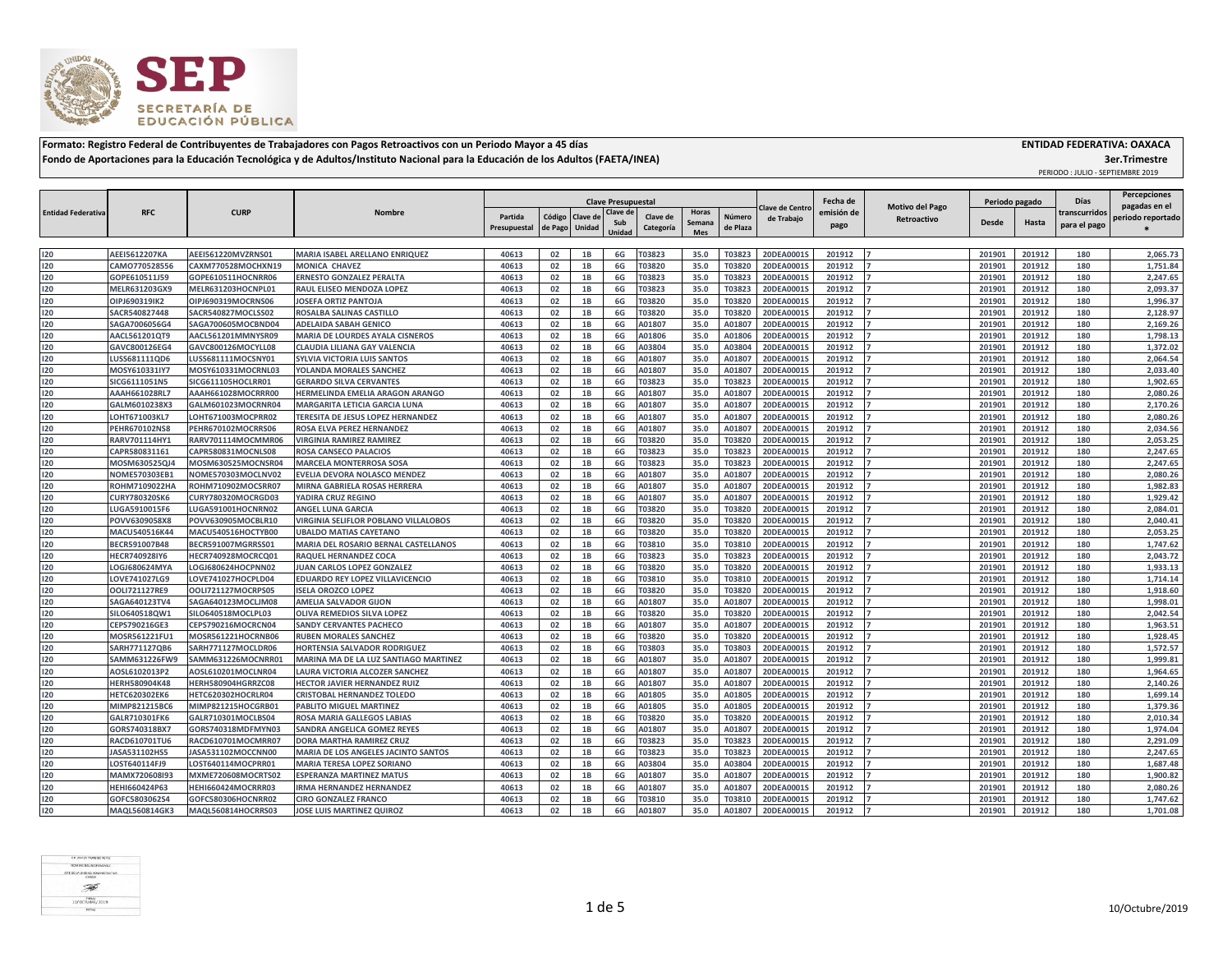

## **Formato: Registro Federal de Contribuyentes de Trabajadores con Pagos Retroactivos con un Periodo Mayor a 45 días ENTIDAD FEDERATIVA: OAXACA Fondo de Aportaciones para la Educación Tecnológica y de Adultos/Instituto Nacional para la Educación de los Adultos (FAETA/INEA)**

 **3er.Trimestre**

PERIODO : JULIO - SEPTIEMBRE 2019

|                           | <b>RFC</b>           | <b>CURP</b>        | <b>Nombre</b>                               |                   |         |               | <b>Clave Presupuestal</b> |               |               |                               |            | Fecha de                       |  | Periodo pagado |               | Días                               | <b>Percepciones</b> |
|---------------------------|----------------------|--------------------|---------------------------------------------|-------------------|---------|---------------|---------------------------|---------------|---------------|-------------------------------|------------|--------------------------------|--|----------------|---------------|------------------------------------|---------------------|
| <b>Entidad Federativa</b> |                      |                    |                                             | Código<br>Partida | Clave d | Clave de      | Clave de                  | Horas         | Número        | Clave de Centro<br>de Trabajo | emisión de | Motivo del Pago<br>Retroactivo |  |                | transcurridos | pagadas en el<br>periodo reportado |                     |
|                           |                      |                    |                                             | Presupuestal      | de Pago | <b>Unidad</b> | Sub<br>Jnida              | Categoría     | Semana<br>Mes | de Plaza                      |            | pago                           |  | <b>Desde</b>   | Hasta         | para el pago                       |                     |
|                           |                      |                    |                                             |                   |         |               |                           |               |               |                               |            |                                |  |                |               |                                    |                     |
| 120                       | <b>AEEI5612207KA</b> | AEEI561220MVZRNS01 | MARIA ISABEL ARELLANO ENRIQUEZ              | 40613             | 02      | 1B            | 6G                        | T03823        | 35.0          | T03823                        | 20DEA0001S | 201912                         |  | 201901         | 201912        | 180                                | 2.065.73            |
| 120                       | CAMO770528556        | CAXM770528MOCHXN19 | MONICA CHAVEZ                               | 40613             | 02      | 1B            | 6G                        | T03820        | 35.0          | T03820                        | 20DEA0001S | 201912                         |  | 201901         | 201912        | 180                                | 1,751.84            |
| 120                       | GOPE610511J59        | GOPE610511HOCNRR06 | ERNESTO GONZALEZ PERALTA                    | 40613             | 02      | 1B            | 6G                        | T03823        | 35.0          | T0382                         | 20DEA0001S | 201912                         |  | 201901         | 201912        | 180                                | 2,247.65            |
| 120                       | MELR631203GX9        | MELR631203HOCNPL01 | RAUL ELISEO MENDOZA LOPEZ                   | 40613             | 02      | 1B            | 6G                        | T03823        | 35.0          | T03823                        | 20DEA0001S | 201912                         |  | 201901         | 201912        | 180                                | 2,093.37            |
| 120                       | OIPJ690319IK2        | OIPJ690319MOCRNS06 | <b>JOSEFA ORTIZ PANTOJA</b>                 | 40613             | 02      | 1B            | 6G                        | T03820        | 35.0          | T03820                        | 20DEA00019 | 201912                         |  | 201901         | 201912        | 180                                | 1,996.37            |
| 120                       | SACR540827448        | SACR540827MOCLSS02 | ROSALBA SALINAS CASTILLO                    | 40613             | 02      | 1B            | 6G                        | <b>T03820</b> | 35.0          | T03820                        | 20DEA0001S | 201912                         |  | 201901         | 201912        | 180                                | 2,128.97            |
| 120                       | SAGA7006056G4        | SAGA700605MOCBND04 | <b>ADELAIDA SABAH GENICO</b>                | 40613             | 02      | 1B            | 6G                        | A01807        | 35.0          | A0180                         | 20DEA00019 | 201912                         |  | 201901         | 201912        | 180                                | 2.169.26            |
| 120                       | AACL561201QT9        | AACL561201MMNYSR09 | MARIA DE LOURDES AYALA CISNEROS             | 40613             | 02      | 1B            | 6G                        | A01806        | 35.0          | A0180                         | 20DEA00019 | 201912                         |  | 201901         | 201912        | 180                                | 1,798.13            |
| 120                       | GAVC800126EG4        | GAVC800126MOCYLL08 | CLAUDIA LILIANA GAY VALENCIA                | 40613             | 02      | 1B            | 6G                        | A03804        | 35.0          | A03804                        | 20DEA00019 | 201912                         |  | 201901         | 201912        | 180                                | 1,372.02            |
| 120                       | LUSS681111QD6        | LUSS681111MOCSNY01 | SYLVIA VICTORIA LUIS SANTOS                 | 40613             | 02      | 1B            | 6G                        | A01807        | 35.0          | A01807                        | 20DEA0001S | 201912                         |  | 201901         | 201912        | 180                                | 2,064.54            |
| 120                       | MOSY610331IY7        | MOSY610331MOCRNL03 | YOLANDA MORALES SANCHEZ                     | 40613             | 02      | 1B            | 6G                        | A01807        | 35.0          | A0180                         | 20DEA00019 | 201912                         |  | 201901         | 201912        | 180                                | 2,033.40            |
| 120                       | SICG6111051N5        | SICG611105HOCLRR01 | <b>GERARDO SILVA CERVANTES</b>              | 40613             | 02      | 1B            | 6G                        | T03823        | 35.0          | T03823                        | 20DEA0001S | 201912                         |  | 201901         | 201912        | 180                                | 1,902.65            |
| 120                       | AAAH661028RL7        | AAAH661028MOCRRR00 | HERMELINDA EMELIA ARAGON ARANGO             | 40613             | 02      | 1B            | 6G                        | A01807        | 35.0          | A01807                        | 20DEA00019 | 201912                         |  | 201901         | 201912        | 180                                | 2,080.26            |
| 120                       | GALM6010238X3        | GALM601023MOCRNR04 | MARGARITA LETICIA GARCIA LUNA               | 40613             | 02      | 1B            | 6G                        | A01807        | 35.0          | A01807                        | 20DEA00019 | 201912                         |  | 201901         | 201912        | 180                                | 2.170.26            |
| 120                       | LOHT671003KL7        | LOHT671003MOCPRR02 | <b>TERESITA DE JESUS LOPEZ HERNANDEZ</b>    | 40613             | 02      | 1B            | 6G                        | A01807        | 35.0          | A01807                        | 20DEA0001S | 201912                         |  | 201901         | 201912        | 180                                | 2.080.26            |
| 120                       | PEHR670102NS8        | PEHR670102MOCRRS06 | ROSA ELVA PEREZ HERNANDEZ                   | 40613             | 02      | 1B            | 6G                        | A01807        | 35.0          | A0180                         | 20DEA0001S | 201912                         |  | 201901         | 201912        | 180                                | 2,034.56            |
| 120                       | RARV701114HY1        | RARV701114MOCMMR06 | VIRGINIA RAMIREZ RAMIREZ                    | 40613             | 02      | 1B            | 6G                        | T03820        | 35.0          | T03820                        | 20DEA0001S | 201912                         |  | 201901         | 201912        | 180                                | 2,053.25            |
| 120                       | CAPR580831161        | CAPR580831MOCNLS08 | ROSA CANSECO PALACIOS                       | 40613             | 02      | 1B            | 6G                        | T03823        | 35.0          | T03823                        | 20DEA00019 | 201912                         |  | 201901         | 201912        | 180                                | 2,247.65            |
| 120                       | MOSM630525QJ4        | MOSM630525MOCNSR04 | <b>MARCELA MONTERROSA SOSA</b>              | 40613             | 02      | 1B            | 6G                        | T03823        | 35.0          | T03823                        | 20DEA0001S | 201912                         |  | 201901         | 201912        | 180                                | 2,247.65            |
| 120                       | NOME570303EB1        | NOME570303MOCLNV02 | EVELIA DEVORA NOLASCO MENDEZ                | 40613             | 02      | 1B            | 6G                        | A01807        | 35.0          | A0180                         | 20DEA00019 | 201912                         |  | 201901         | 201912        | 180                                | 2,080.26            |
| 120                       | ROHM7109022HA        | ROHM710902MOCSRR07 | MIRNA GABRIELA ROSAS HERRERA                | 40613             | 02      | 1B            | 6G                        | A01807        | 35.0          | A0180                         | 20DEA00019 | 201912                         |  | 201901         | 201912        | 180                                | 1,982.83            |
| 120                       | <b>CURY780320SK6</b> | CURY780320MOCRGD03 | YADIRA CRUZ REGINO                          | 40613             | 02      | 1B            | 6G                        | A01807        | 35.0          | A01807                        | 20DEA00019 | 201912                         |  | 201901         | 201912        | 180                                | 1,929.42            |
| 120                       | LUGA5910015F6        | LUGA591001HOCNRN02 | ANGEL LUNA GARCIA                           | 40613             | 02      | 1B            | 6G                        | T03820        | 35.0          | T03820                        | 20DEA0001S | 201912                         |  | 201901         | 201912        | 180                                | 2,084.01            |
| 120                       | POVV6309058X8        | POVV630905MOCBLR10 | <b>VIRGINIA SELIFLOR POBLANO VILLALOBOS</b> | 40613             | 02      | 1B            | 6G                        | <b>T03820</b> | 35.0          | T0382                         | 20DEA00019 | 201912                         |  | 201901         | 201912        | 180                                | 2.040.41            |
| 120                       | MACU540516K44        | MACU540516HOCTYB00 | <b>UBALDO MATIAS CAYETANO</b>               | 40613             | 02      | 1B            | 6G                        | T03820        | 35.0          | T03820                        | 20DEA0001S | 201912                         |  | 201901         | 201912        | 180                                | 2,053.25            |
| 120                       | BECR591007B48        | BECR591007MGRRSS01 | MARIA DEL ROSARIO BERNAL CASTELLANOS        | 40613             | 02      | 1B            | 6G                        | T03810        | 35.0          | T03810                        | 20DEA0001S | 201912                         |  | 201901         | 201912        | 180                                | 1,747.62            |
| 120                       | HECR740928IY6        | HECR740928MOCRCQ01 | RAQUEL HERNANDEZ COCA                       | 40613             | 02      | 1B            | 6G                        | T03823        | 35.0          | T03823                        | 20DEA0001S | 201912                         |  | 201901         | 201912        | 180                                | 2,043.72            |
| 120                       | LOGJ680624MYA        | LOGJ680624HOCPNN02 | <b>JUAN CARLOS LOPEZ GONZALEZ</b>           | 40613             | 02      | 1B            | 6G                        | T03820        | 35.0          | T03820                        | 20DEA00019 | 201912                         |  | 201901         | 201912        | 180                                | 1.933.13            |
| 120                       | LOVE741027LG9        | LOVE741027HOCPLD04 | EDUARDO REY LOPEZ VILLAVICENCIO             | 40613             | 02      | 1B            | 6G                        | T03810        | 35.0          | T03810                        | 20DEA0001S | 201912                         |  | 201901         | 201912        | 180                                | 1,714.14            |
| 120                       | OOLI721127RE9        | OOLI721127MOCRPS05 | <b>ISELA OROZCO LOPEZ</b>                   | 40613             | 02      | 1B            | 6G                        | T03820        | 35.0          | T03820                        | 20DEA0001S | 201912                         |  | 201901         | 201912        | 180                                | 1,918.60            |
| 120                       | SAGA640123TV4        | SAGA640123MOCLJM08 | AMELIA SALVADOR GIJON                       | 40613             | 02      | 1B            | 6G                        | A01807        | 35.0          | A01807                        | 20DEA00019 | 201912                         |  | 201901         | 201912        | 180                                | 1.998.01            |
| 120                       | SILO640518QW1        | SILO640518MOCLPL03 | OLIVA REMEDIOS SILVA LOPEZ                  | 40613             | 02      | 1B            | 6G                        | T03820        | 35.0          | T03820                        | 20DEA0001S | 201912                         |  | 201901         | 201912        | 180                                | 2,042.54            |
| 120                       | CEPS790216GE3        | CEPS790216MOCRCN04 | <b>SANDY CERVANTES PACHECO</b>              | 40613             | 02      | 1B            | 6G                        | A01807        | 35.0          | A01807                        | 20DEA00019 | 201912                         |  | 201901         | 201912        | 180                                | 1,963.51            |
| 120                       | MOSR561221FU1        | MOSR561221HOCRNB06 | <b>RUBEN MORALES SANCHEZ</b>                | 40613             | 02      | 1B            | 6G                        | T03820        | 35.0          | T0382                         | 20DEA00019 | 201912                         |  | 201901         | 201912        | 180                                | 1,928.45            |
| 120                       | SARH771127QB6        | SARH771127MOCLDR06 | <b>HORTENSIA SALVADOR RODRIGUEZ</b>         | 40613             | 02      | 1B            | 6G                        | T03803        | 35.0          | T03803                        | 20DEA00019 | 201912                         |  | 201901         | 201912        | 180                                | 1,572.57            |
| 120                       | SAMM631226FW9        | SAMM631226MOCNRR01 | MARINA MA DE LA LUZ SANTIAGO MARTINEZ       | 40613             | 02      | 1B            | 6G                        | A01807        | 35.0          | A01807                        | 20DEA0001S | 201912                         |  | 201901         | 201912        | 180                                | 1,999.81            |
| 120                       | AOSL6102013P2        | AOSL610201MOCLNR04 | LAURA VICTORIA ALCOZER SANCHEZ              | 40613             | 02      | 1B            | 6G                        | A01807        | 35.0          | A01807                        | 20DEA00019 | 201912                         |  | 201901         | 201912        | 180                                | 1,964.65            |
| 120                       | <b>HERH580904K48</b> | HERH580904HGRRZC08 | <b>HECTOR JAVIER HERNANDEZ RUIZ</b>         | 40613             | 02      | 1B            | 6G                        | A01807        | 35.0          | A01807                        | 20DEA00019 | 201912                         |  | 201901         | 201912        | 180                                | 2,140.26            |
| 120                       | <b>HETC620302EK6</b> | HETC620302HOCRLR04 | CRISTOBAL HERNANDEZ TOLEDO                  | 40613             | 02      | 1B            | 6G                        | A01805        | 35.0          | A0180!                        | 20DEA0001S | 201912                         |  | 201901         | 201912        | 180                                | 1,699.14            |
| 120                       | MIMP821215BC6        | MIMP821215HOCGRB01 | PABLITO MIGUEL MARTINEZ                     | 40613             | 02      | 1B            | 6G                        | A01805        | 35.0          | A01805                        | 20DEA0001S | 201912                         |  | 201901         | 201912        | 180                                | 1,379.36            |
| 120                       | GALR710301FK6        | GALR710301MOCLBS04 | ROSA MARIA GALLEGOS LABIAS                  | 40613             | 02      | 1B            | 6G                        | T03820        | 35.0          | T03820                        | 20DEA00019 | 201912                         |  | 201901         | 201912        | 180                                | 2,010.34            |
| 120                       | GORS740318BX7        | GORS740318MDFMYN03 | SANDRA ANGELICA GOMEZ REYES                 | 40613             | 02      | 1B            | 6G                        | A01807        | 35.0          | A0180                         | 20DEA0001S | 201912                         |  | 201901         | 201912        | 180                                | 1.974.04            |
| 120                       | RACD610701TU6        | RACD610701MOCMRR07 | DORA MARTHA RAMIREZ CRUZ                    | 40613             | 02      | 1B            | 6G                        | T03823        | 35.0          | T03823                        | 20DEA0001S | 201912                         |  | 201901         | 201912        | 180                                | 2,291.09            |
| 120                       | <b>IASA531102HS5</b> | JASA531102MOCCNN00 | MARIA DE LOS ANGELES JACINTO SANTOS         | 40613             | 02      | 1B            | 6G                        | <b>T03823</b> | 35.0          | T0382                         | 20DEA00019 | 201912                         |  | 201901         | 201912        | 180                                | 2,247.65            |
| 120                       | LOST640114FJ9        | LOST640114MOCPRR01 | <b>MARIA TERESA LOPEZ SORIANO</b>           | 40613             | 02      | 1B            | 6G                        | A03804        | 35.0          | A03804                        | 20DEA0001S | 201912                         |  | 201901         | 201912        | 180                                | 1,687.48            |
| 120                       | MAMX720608I93        | MXME720608MOCRTS02 | <b>ESPERANZA MARTINEZ MATUS</b>             | 40613             | 02      | 1B            | 6G                        | A01807        | 35.0          | A01807                        | 20DEA00019 | 201912                         |  | 201901         | 201912        | 180                                | 1.900.82            |
| 120                       | HEHI660424P63        | HEHI660424MOCRRR03 | <b>IRMA HERNANDEZ HERNANDEZ</b>             | 40613             | 02      | 1B            | 6G                        | A01807        | 35.0          | A01807                        | 20DEA00019 | 201912                         |  | 201901         | 201912        | 180                                | 2,080.26            |
| 120                       | GOFC5803062S4        | GOFC580306HOCNRR02 | <b>CIRO GONZALEZ FRANCO</b>                 | 40613             | 02      | 1B            | 6G                        | <b>T03810</b> | 35.0          | T03810                        | 20DEA0001S | 201912                         |  | 201901         | 201912        | 180                                | 1,747.62            |
| 120                       | MAQL560814GK3        | MAQL560814HOCRRS03 | JOSE LUIS MARTINEZ QUIROZ                   | 40613             | 02      | 1B            | 6G                        | A01807        | 35.0          | A01807                        | 20DEA0001S | 201912                         |  | 201901         | 201912        | 180                                | 1,701.08            |

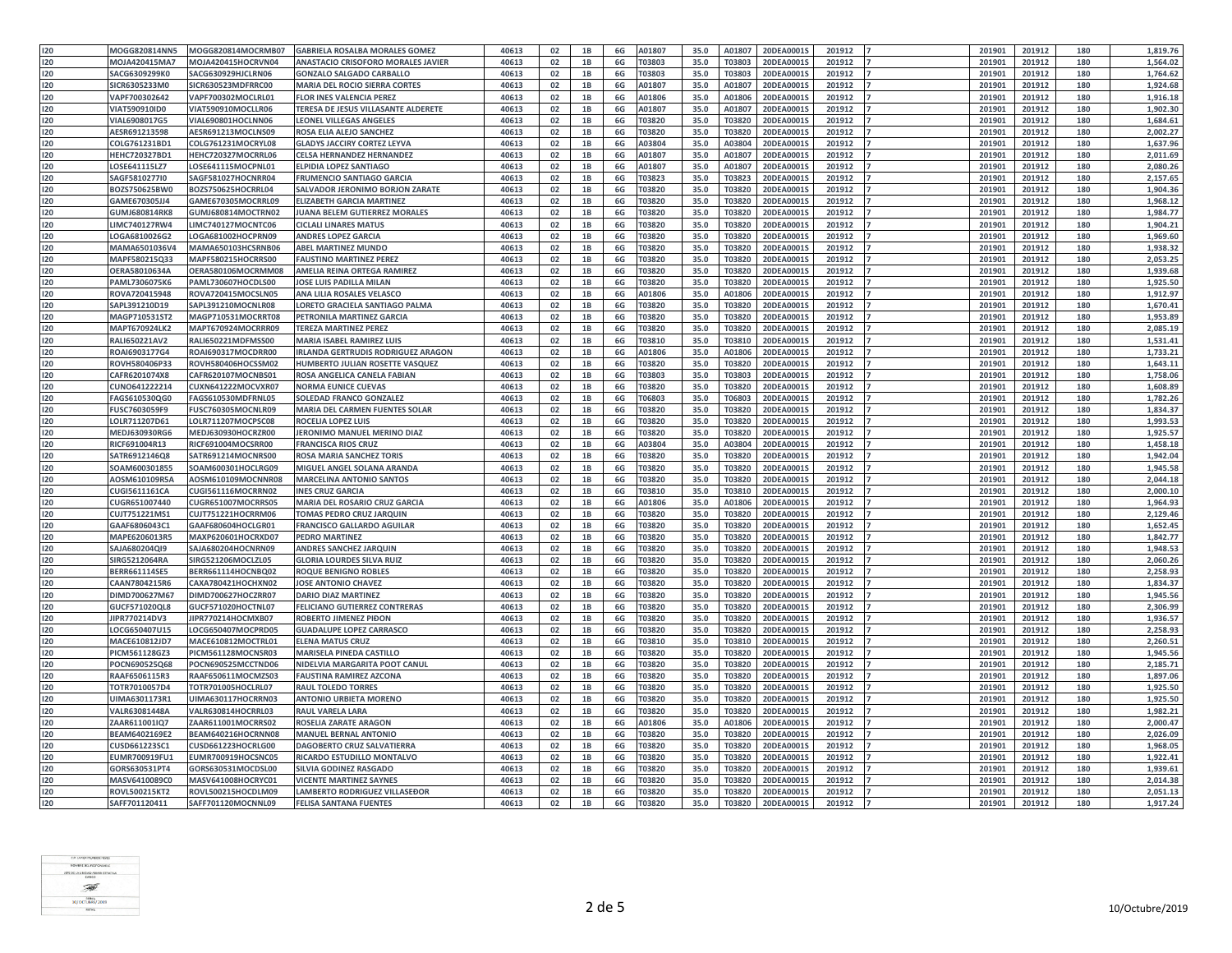| 120        | <b>MOGG820814NN5</b> | MOGG820814MOCRMB07        | <b>GABRIELA ROSALBA MORALES GOMEZ</b>     | 40613 | 02 | 1B            | 6G | A01807 | 35.0 | A01807 | 20DEA0001S | 201912 | 201901 | 201912 | 180 | 1,819.76 |
|------------|----------------------|---------------------------|-------------------------------------------|-------|----|---------------|----|--------|------|--------|------------|--------|--------|--------|-----|----------|
| 120        | <b>MOJA420415MA7</b> | MOJA420415HOCRVN04        | <b>ANASTACIO CRISOFORO MORALES JAVIER</b> | 40613 | 02 | 1B            | 6G | 03803  | 35.0 | T03803 | 20DEA00019 | 201912 | 201901 | 201912 | 180 | 1.564.02 |
| 120        | SACG6309299K0        | SACG630929HJCLRN06        | GONZALO SALGADO CARBALLO                  | 40613 | 02 | 1B            | 6G | 03803  | 35.0 | T03803 | 20DEA0001S | 201912 | 201901 | 201912 | 180 | 1,764.62 |
| 120        | SICR6305233M0        | SICR630523MDFRRC00        | MARIA DEL ROCIO SIERRA CORTES             | 40613 | 02 | 1B            | 6G | 01807  | 35.0 | A01807 | 20DEA00019 | 201912 | 201901 | 201912 | 180 | 1,924.68 |
| 120        |                      |                           |                                           |       | 02 |               |    |        |      |        |            |        |        |        |     | 1,916.18 |
|            | VAPF700302642        | VAPF700302MOCLRL01        | FLOR INES VALENCIA PEREZ                  | 40613 |    | $1B$          | 6G | 01806  | 35.0 | A01806 | 20DEA00019 | 201912 | 201901 | 201912 | 180 |          |
| 120        | VIAT590910ID0        | VIAT590910MOCLLR06        | TERESA DE JESUS VILLASANTE ALDERETE       | 40613 | 02 | 1B            | 6G | 101807 | 35.0 | A01807 | 20DEA0001S | 201912 | 201901 | 201912 | 180 | 1.902.30 |
| 120        | VIAL6908017G5        | VIAL690801HOCLNN06        | <b>LEONEL VILLEGAS ANGELES</b>            | 40613 | 02 | 1B            | 6G | 03820  | 35.0 | T03820 | 20DEA0001S | 201912 | 201901 | 201912 | 180 | 1,684.61 |
| 120        | AESR691213598        | AESR691213MOCLNS09        | ROSA ELIA ALEJO SANCHEZ                   | 40613 | 02 | 1B            | 6G | 03820  | 35.0 | T03820 | 20DEA00019 | 201912 | 201901 | 201912 | 180 | 2,002.27 |
| 120        | COLG761231BD1        | COLG761231MOCRYL08        | <b>GLADYS JACCIRY CORTEZ LEYVA</b>        | 40613 | 02 | $1\mathrm{B}$ | 6G | 103804 | 35.0 | A03804 | 20DEA00019 | 201912 | 201901 | 201912 | 180 | 1,637.96 |
| 120        | <b>HEHC720327BD1</b> | HEHC720327MOCRRL06        | <b>CELSA HERNANDEZ HERNANDEZ</b>          | 40613 | 02 | 1B            | 6G | 01807  | 35.0 | A01807 | 20DEA00019 | 201912 | 201901 | 201912 | 180 | 2.011.69 |
| 120        | .OSE641115LZ7        | LOSE641115MOCPNL01        | ELPIDIA LOPEZ SANTIAGO                    | 40613 | 02 | 1B            | 6G | 01807  | 35.0 | A01807 | 20DEA0001S | 201912 | 201901 | 201912 | 180 | 2,080.26 |
| 120        | SAGF581027710        | SAGF581027HOCNRR04        | <b>FRUMENCIO SANTIAGO GARCIA</b>          | 40613 | 02 | 1B            | 6G | 03823  | 35.0 | T03823 | 20DEA00019 | 201912 | 201901 | 201912 | 180 | 2,157.65 |
| 120        | 3OZS750625BW0        | BOZS750625HOCRRL04        | SALVADOR JERONIMO BORJON ZARATE           | 40613 | 02 | 1B            | 6G | 03820  | 35.0 | T03820 | 20DEA00019 | 201912 | 201901 | 201912 | 180 | 1,904.36 |
| 120        | GAME670305JJ4        | GAME670305MOCRRL09        | <b>ELIZABETH GARCIA MARTINEZ</b>          | 40613 | 02 | 1B            | 6G | 03820  | 35.0 | T03820 | 20DEA0001S | 201912 | 201901 | 201912 | 180 | 1.968.12 |
| 120        | <b>GUMJ680814RK8</b> | GUMJ680814MOCTRN02        | JUANA BELEM GUTIERREZ MORALES             | 40613 | 02 | 1B            | 6G | 03820  | 35.0 | T03820 | 20DEA0001S | 201912 | 201901 | 201912 | 180 | 1,984.77 |
| 120        | <b>IMC740127RW4</b>  | LIMC740127MOCNTC06        | <b>CICLALI LINARES MATUS</b>              | 40613 | 02 | 1B            | 6G | 03820  | 35.0 | T03820 | 20DEA00019 | 201912 | 201901 | 201912 | 180 | 1,904.21 |
| 120        | OGA6810026G2         | LOGA681002HOCPRN09        | <b>ANDRES LOPEZ GARCIA</b>                | 40613 | 02 | 1B            | 6G | 03820  | 35.0 | T03820 | 20DEA0001S | 201912 | 201901 | 201912 | 180 | 1,969.60 |
| 120        | VIAMA6501036V4       | MAMA650103HCSRNB06        | <b>ABEL MARTINEZ MUNDO</b>                | 40613 | 02 | 1B            | 6G | 03820  | 35.0 | T03820 | 20DEA0001S | 201912 | 201901 | 201912 | 180 | 1,938.32 |
| 120        | MAPF580215Q33        | MAPF580215HOCRRS00        | <b>FAUSTINO MARTINEZ PEREZ</b>            | 40613 | 02 | 1B            | 6G | 03820  | 35.0 | T03820 | 20DEA00019 | 201912 | 201901 | 201912 | 180 | 2,053.25 |
| 120        | OERA58010634A        | OERA580106MOCRMM08        | AMELIA REINA ORTEGA RAMIREZ               | 40613 | 02 | 1B            | 6G | 03820  | 35.0 | T03820 | 20DEA00019 | 201912 | 201901 | 201912 | 180 | 1,939.68 |
| 120        | PAML7306075K6        | PAML730607HOCDLS00        | JOSE LUIS PADILLA MILAN                   | 40613 | 02 | 1B            | 6G | 03820  | 35.0 | T03820 | 20DEA0001S | 201912 | 201901 | 201912 | 180 | 1,925.50 |
| 120        | ROVA720415948        | ROVA720415MOCSLN05        | ANA LILIA ROSALES VELASCO                 | 40613 | 02 | 1B            | 6G | 101806 | 35.0 | A01806 | 20DEA0001S | 201912 | 201901 | 201912 | 180 | 1,912.97 |
|            |                      |                           |                                           |       |    |               |    |        |      |        |            |        |        |        |     |          |
| 120        | SAPL391210D19        | SAPL391210MOCNLR08        | LORETO GRACIELA SANTIAGO PALMA            | 40613 | 02 | 1B            | 6G | 03820  | 35.0 | T03820 | 20DEA0001S | 201912 | 201901 | 201912 | 180 | 1,670.41 |
| 120        | MAGP710531ST2        | MAGP710531MOCRRT08        | PETRONILA MARTINEZ GARCIA                 | 40613 | 02 | 1B            | 6G | 03820  | 35.0 | T03820 | 20DEA0001S | 201912 | 201901 | 201912 | 180 | 1,953.89 |
| 120        | <b>MAPT670924LK2</b> | MAPT670924MOCRRR09        | <b>TEREZA MARTINEZ PEREZ</b>              | 40613 | 02 | 1B            | 6G | 03820  | 35.0 | T03820 | 20DEA0001S | 201912 | 201901 | 201912 | 180 | 2,085.19 |
| 120        | RALI650221AV2        | RALI650221MDFMSS00        | MARIA ISABEL RAMIREZ LUIS                 | 40613 | 02 | 1B            | 6G | 03810  | 35.0 | T03810 | 20DEA0001S | 201912 | 201901 | 201912 | 180 | 1,531.41 |
| 120        | ROAI6903177G4        | ROAI690317MOCDRR00        | <b>IRLANDA GERTRUDIS RODRIGUEZ ARAGON</b> | 40613 | 02 | 1B            | 6G | 01806  | 35.0 | A01806 | 20DEA00019 | 201912 | 201901 | 201912 | 180 | 1,733.21 |
| 120        | ROVH580406P33        | ROVH580406HOCSSM02        | HUMBERTO JULIAN ROSETTE VASQUEZ           | 40613 | 02 | 1B            | 6G | 03820  | 35.0 | T0382  | 20DEA0001  | 201912 | 201901 | 201912 | 180 | 1,643.11 |
| 120        | CAFR6201074X8        | CAFR620107MOCNBS01        | ROSA ANGELICA CANELA FABIAN               | 40613 | 02 | 1B            | 6G | 03803  | 35.0 | T03803 | 20DEA0001S | 201912 | 201901 | 201912 | 180 | 1,758.06 |
| 120        | CUNO641222214        | CUXN641222MOCVXR07        | <b>NORMA EUNICE CUEVAS</b>                | 40613 | 02 | 1B            | 6G | 03820  | 35.0 | T03820 | 20DEA0001S | 201912 | 201901 | 201912 | 180 | 1,608.89 |
| 120        | FAGS610530QG0        | FAGS610530MDFRNL05        | SOLEDAD FRANCO GONZALEZ                   | 40613 | 02 | 1B            | 6G | 06803  | 35.0 | T06803 | 20DEA00019 | 201912 | 201901 | 201912 | 180 | 1,782.26 |
| 120        | FUSC7603059F9        | FUSC760305MOCNLR09        | MARIA DEL CARMEN FUENTES SOLAR            | 40613 | 02 | $1B$          | 6G | 03820  | 35.0 | T03820 | 20DEA00019 | 201912 | 201901 | 201912 | 180 | 1,834.37 |
| 120        | .OLR711207D61        | LOLR711207MOCPSC08        | <b>ROCELIA LOPEZ LUIS</b>                 | 40613 | 02 | 1B            | 6G | 03820  | 35.0 | T03820 | 20DEA0001S | 201912 | 201901 | 201912 | 180 | 1,993.53 |
| 120        | <b>MEDJ630930RG6</b> | MEDJ630930HOCRZR00        | JERONIMO MANUEL MERINO DIAZ               | 40613 | 02 | 1B            | 6G | 03820  | 35.0 | T03820 | 20DEA0001S | 201912 | 201901 | 201912 | 180 | 1,925.57 |
| 120        | RICF691004R13        | RICF691004MOCSRR00        | <b>FRANCISCA RIOS CRUZ</b>                | 40613 | 02 | 1B            | 6G | 03804  | 35.0 | A03804 | 20DEA00019 | 201912 | 201901 | 201912 | 180 | 1,458.18 |
| 120        | SATR6912146Q8        | SATR691214MOCNRS00        | ROSA MARIA SANCHEZ TORIS                  | 40613 | 02 | $1\mathrm{B}$ | 6G | 03820  | 35.0 | T03820 | 20DEA00019 | 201912 | 201901 | 201912 | 180 | 1,942.04 |
| 120        | SOAM600301855        | SOAM600301HOCLRG09        | MIGUEL ANGEL SOLANA ARANDA                | 40613 | 02 | 1B            | 6G | 03820  | 35.0 | T03820 | 20DEA0001S | 201912 | 201901 | 201912 | 180 | 1.945.58 |
| 120        | AOSM610109R5A        | AOSM610109MOCNNR08        | <b>MARCELINA ANTONIO SANTOS</b>           | 40613 | 02 | 1B            | 6G | 03820  | 35.0 | T03820 | 20DEA0001S | 201912 | 201901 | 201912 | 180 | 2,044.18 |
| 120        | <b>CUGI5611161CA</b> | <b>CUGI561116MOCRRN02</b> | <b>INES CRUZ GARCIA</b>                   | 40613 | 02 | 1B            | 6G | 03810  | 35.0 | T03810 | 20DEA0001S | 201912 | 201901 | 201912 | 180 | 2,000.10 |
| 120        | CUGR651007440        | CUGR651007MOCRRS05        | MARIA DEL ROSARIO CRUZ GARCIA             | 40613 | 02 | 1B            | 6G | 101806 | 35.0 | A01806 | 20DEA0001S | 201912 | 201901 | 201912 | 180 | 1,964.93 |
| 120        | CUJT751221MS1        | <b>CUJT751221HOCRRM06</b> | <b>TOMAS PEDRO CRUZ JARQUIN</b>           | 40613 | 02 | 1B            | 6G | 03820  | 35.0 | T03820 | 20DEA0001S | 201912 | 201901 | 201912 | 180 | 2.129.46 |
|            |                      |                           |                                           |       |    |               |    |        |      |        |            |        |        |        |     |          |
| 120        | GAAF6806043C1        | GAAF680604HOCLGR01        | FRANCISCO GALLARDO AGUILAR                | 40613 | 02 | 1B            | 6G | 03820  | 35.0 | T03820 | 20DEA0001S | 201912 | 201901 | 201912 | 180 | 1,652.45 |
| 120        | MAPE6206013R5        | MAXP620601HOCRXD07        | <b>PEDRO MARTINEZ</b>                     | 40613 | 02 | 1B            | 6G | 03820  | 35.0 | T03820 | 20DEA00019 | 201912 | 201901 | 201912 | 180 | 1,842.77 |
| 120        | SAJA680204QI9        | SAJA680204HOCNRN09        | <b>ANDRES SANCHEZ JARQUIN</b>             | 40613 | 02 | 1B            | 6G | 03820  | 35.0 | T03820 | 20DEA00019 | 201912 | 201901 | 201912 | 180 | 1,948.53 |
| 120        | SIRG5212064RA        | SIRG521206MOCLZL05        | <b>GLORIA LOURDES SILVA RUIZ</b>          | 40613 | 02 | 1B            | 6G | 03820  | 35.0 | T03820 | 20DEA0001S | 201912 | 201901 | 201912 | 180 | 2,060.26 |
| 120        | <b>BERR661114SE5</b> | BERR661114HOCNBQ02        | <b>ROQUE BENIGNO ROBLES</b>               | 40613 | 02 | 1B            | 6G | 03820  | 35.0 | T03820 | 20DEA0001S | 201912 | 201901 | 201912 | 180 | 2,258.93 |
| 120        | CAAN7804215R6        | CAXA780421HOCHXN02        | <b>JOSE ANTONIO CHAVEZ</b>                | 40613 | 02 | 1B            | 6G | 03820  | 35.0 | T03820 | 20DEA00019 | 201912 | 201901 | 201912 | 180 | 1.834.37 |
| 120        | DIMD700627M67        | DIMD700627HOCZRR07        | <b>DARIO DIAZ MARTINEZ</b>                | 40613 | 02 | 1B            | 6G | 03820  | 35.0 | T03820 | 20DEA00019 | 201912 | 201901 | 201912 | 180 | 1,945.56 |
| 120        | GUCF571020QL8        | GUCF571020HOCTNL07        | FELICIANO GUTIERREZ CONTRERAS             | 40613 | 02 | 1B            | 6G | 03820  | 35.0 | T03820 | 20DEA0001S | 201912 | 201901 | 201912 | 180 | 2,306.99 |
| 120        | <b>IPR770214DV3</b>  | JIPR770214HOCMXB07        | ROBERTO JIMENEZ PIĐON                     | 40613 | 02 | 1B            | 6G | 03820  | 35.0 | T03820 | 20DEA0001S | 201912 | 201901 | 201912 | 180 | 1,936.57 |
| 120        | .OCG650407U15        | LOCG650407MOCPRD05        | <b>GUADALUPE LOPEZ CARRASCO</b>           | 40613 | 02 | 1B            | 6G | 03820  | 35.0 | T03820 | 20DEA0001S | 201912 | 201901 | 201912 | 180 | 2,258.93 |
| 120        | <b>MACE610812JD7</b> | MACE610812MOCTRL01        | <b>ELENA MATUS CRUZ</b>                   | 40613 | 02 | 1B            | 6G | 03810  | 35.0 | T03810 | 20DEA0001S | 201912 | 201901 | 201912 | 180 | 2,260.51 |
| 120        | PICM561128GZ3        | PICM561128MOCNSR03        | MARISELA PINEDA CASTILLO                  | 40613 | 02 | 1B            | 6G | 03820  | 35.0 | T03820 | 20DEA0001S | 201912 | 201901 | 201912 | 180 | 1,945.56 |
| 120        | POCN690525Q68        | POCN690525MCCTND06        | NIDELVIA MARGARITA POOT CANUL             | 40613 | 02 | 1B            | 6G | 03820  | 35.0 | T03820 | 20DEA00019 | 201912 | 201901 | 201912 | 180 | 2,185.71 |
| 120        | RAAF6506115R3        | RAAF650611MOCMZS03        | <b>FAUSTINA RAMIREZ AZCONA</b>            | 40613 | 02 | 1B            | 6G | 03820  | 35.0 | T03820 | 20DEA0001S | 201912 | 201901 | 201912 | 180 | 1,897.06 |
| 120        | <b>FOTR7010057D4</b> | TOTR701005HOCLRL07        | RAUL TOLEDO TORRES                        | 40613 | 02 | 1B            | 6G | 03820  | 35.0 | T03820 | 20DEA0001S | 201912 | 201901 | 201912 | 180 | 1,925.50 |
| 120        | JIMA6301173R1        | UIMA630117HOCRRN03        | <b>ANTONIO URBIETA MORENO</b>             | 40613 | 02 | 1B            | 6G | 03820  | 35.0 | T03820 | 20DEA0001S | 201912 | 201901 | 201912 | 180 | 1,925.50 |
|            |                      |                           |                                           |       |    |               |    |        |      | T03820 |            |        |        |        |     |          |
| 120<br>120 | /ALR63081448A        | VALR630814HOCRRL03        | RAUL VARELA LARA                          | 40613 | 02 | 1B            | 6G | 03820  | 35.0 |        | 20DEA00019 | 201912 | 201901 | 201912 | 180 | 1,982.21 |
|            | ZAAR611001IQ7        | ZAAR611001MOCRRS02        | ROSELIA ZARATE ARAGON                     | 40613 | 02 | $1B$          | 6G | 101806 | 35.0 | A01806 | 20DEA00019 | 201912 | 201901 | 201912 | 180 | 2,000.47 |
| 120        | BEAM6402169E2        | BEAM640216HOCRNN08        | MANUEL BERNAL ANTONIO                     | 40613 | 02 | 1B            | 6G | 03820  | 35.0 | T03820 | 20DEA0001S | 201912 | 201901 | 201912 | 180 | 2,026.09 |
| 120        | CUSD661223SC1        | CUSD661223HOCRLG00        | DAGOBERTO CRUZ SALVATIERRA                | 40613 | 02 | 1B            | 6G | 03820  | 35.0 | T03820 | 20DEA0001S | 201912 | 201901 | 201912 | 180 | 1,968.05 |
| 120        | <b>EUMR700919FU1</b> | EUMR700919HOCSNC05        | RICARDO ESTUDILLO MONTALVO                | 40613 | 02 | 1B            | 6G | 03820  | 35.0 | T03820 | 20DEA00019 | 201912 | 201901 | 201912 | 180 | 1,922.41 |
| 120        | GORS630531PT4        | GORS630531MOCDSL00        | SILVIA GODINEZ RASGADO                    | 40613 | 02 | 1B            | 6G | 03820  | 35.0 | T03820 | 20DEA00019 | 201912 | 201901 | 201912 | 180 | 1,939.61 |
| 120        | VIASV6410089C0       | MASV641008HOCRYC01        | <b>VICENTE MARTINEZ SAYNES</b>            | 40613 | 02 | 1B            | 6G | 03820  | 35.0 | T03820 | 20DEA00019 | 201912 | 201901 | 201912 | 180 | 2.014.38 |
| 120        | ROVL500215KT2        | ROVL500215HOCDLM09        | LAMBERTO RODRIGUEZ VILLASEĐOR             | 40613 | 02 | 1B            | 6G | 03820  | 35.0 | T03820 | 20DEA0001S | 201912 | 201901 | 201912 | 180 | 2,051.13 |
| 120        | SAFF701120411        | SAFF701120MOCNNL09        | <b>FELISA SANTANA FUENTES</b>             | 40613 | 02 | 1B            | 6G | 03820  | 35.0 | T03820 | 20DEA0001S | 201912 | 201901 | 201912 | 180 | 1,917.24 |

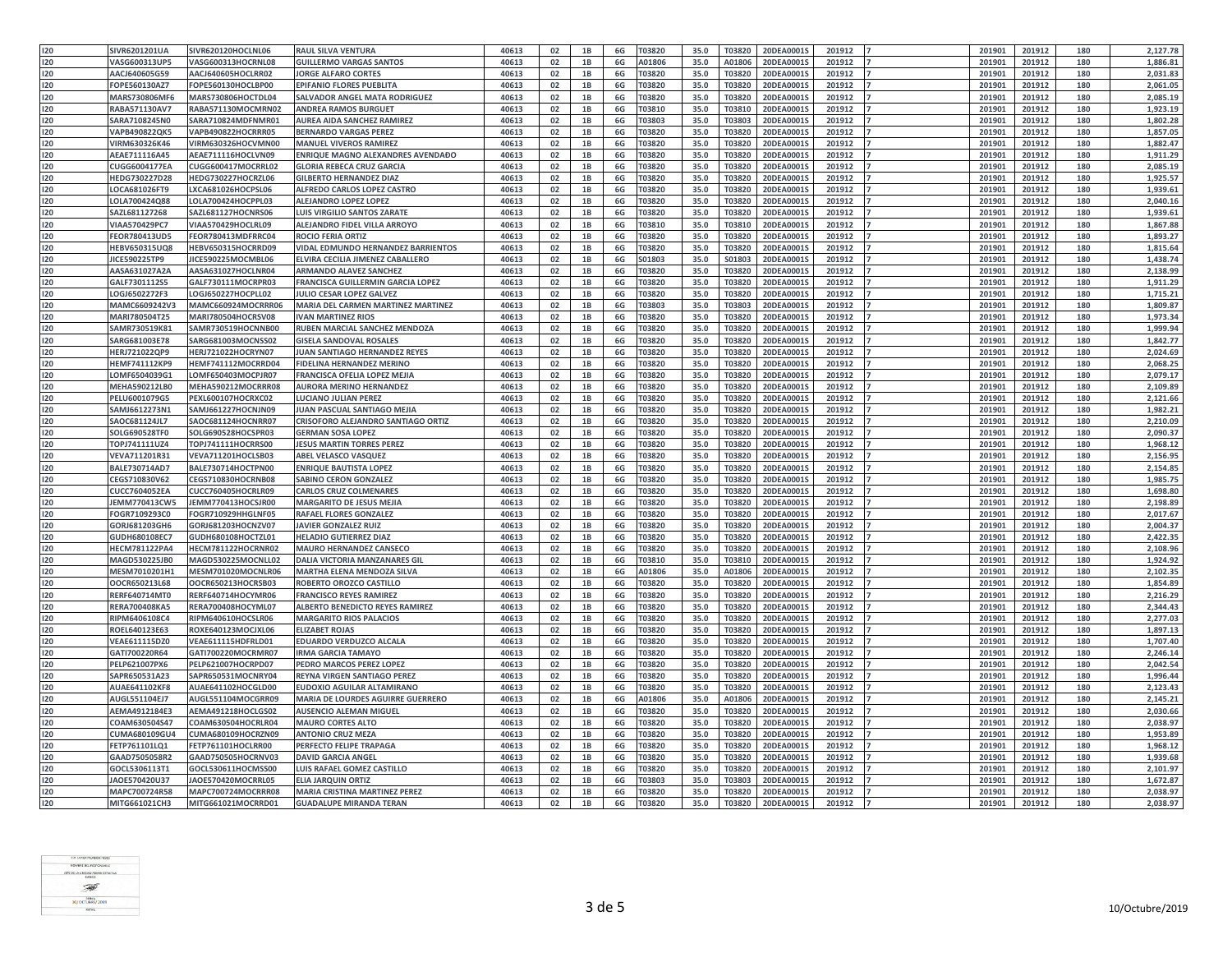| 120        | SIVR6201201UA        | SIVR620120HOCLNL06        | <b>RAUL SILVA VENTURA</b>                 | 40613 | 02 | 1B            | 6G | T03820 | 35.0 | T03820 | 20DEA0001S | 201912 | 201901 | 201912 | 180 | 2,127.78 |
|------------|----------------------|---------------------------|-------------------------------------------|-------|----|---------------|----|--------|------|--------|------------|--------|--------|--------|-----|----------|
| 120        | VASG600313UP5        | VASG600313HOCRNL08        | <b>GUILLERMO VARGAS SANTOS</b>            | 40613 | 02 | 1B            | 6G | 101806 | 35.0 | A01806 | 20DEA0001S | 201912 | 201901 | 201912 | 180 | 1.886.81 |
| 120        | AACJ640605G59        | AACJ640605HOCLRR02        | <b>JORGE ALFARO CORTES</b>                | 40613 | 02 | 1B            | 6G | 03820  | 35.0 | T03820 | 20DEA0001S | 201912 | 201901 | 201912 | 180 | 2,031.83 |
| 120        | FOPE560130AZ7        | FOPE560130HOCLBP00        | <b>EPIFANIO FLORES PUEBLITA</b>           | 40613 | 02 | 1B            | 6G | 03820  | 35.0 | T03820 | 20DEA0001S | 201912 | 201901 | 201912 | 180 | 2,061.05 |
| 120        |                      |                           |                                           |       | 02 |               |    |        |      |        |            |        |        |        |     | 2,085.19 |
|            | MARS730806MF6        | MARS730806HOCTDL04        | SALVADOR ANGEL MATA RODRIGUEZ             | 40613 |    | $1B$          | 6G | 03820  | 35.0 | T03820 | 20DEA0001S | 201912 | 201901 | 201912 | 180 |          |
| 120        | RABA571130AV7        | RABA571130MOCMRN02        | <b>ANDREA RAMOS BURGUET</b>               | 40613 | 02 | 1B            | 6G | 03810  | 35.0 | T03810 | 20DEA0001S | 201912 | 201901 | 201912 | 180 | 1.923.19 |
| 120        | SARA7108245N0        | SARA710824MDFNMR01        | <b>AUREA AIDA SANCHEZ RAMIREZ</b>         | 40613 | 02 | 1B            | 6G | 03803  | 35.0 | T03803 | 20DEA0001S | 201912 | 201901 | 201912 | 180 | 1,802.28 |
| 120        | VAPB490822QK5        | VAPB490822HOCRRR05        | <b>BERNARDO VARGAS PEREZ</b>              | 40613 | 02 | 1B            | 6G | 03820  | 35.0 | T03820 | 20DEA0001S | 201912 | 201901 | 201912 | 180 | 1,857.05 |
| 120        | VIRM630326K46        | VIRM630326HOCVMN00        | <b>MANUEL VIVEROS RAMIREZ</b>             | 40613 | 02 | $1\mathrm{B}$ | 6G | 03820  | 35.0 | T03820 | 20DEA0001S | 201912 | 201901 | 201912 | 180 | 1,882.47 |
| 120        | AEAE711116A45        | AEAE711116HOCLVN09        | <b>ENRIQUE MAGNO ALEXANDRES AVENDADO</b>  | 40613 | 02 | 1B            | 6G | 03820  | 35.0 | T03820 | 20DEA0001S | 201912 | 201901 | 201912 | 180 | 1.911.29 |
| 120        | <b>CUGG6004177EA</b> | CUGG600417MOCRRL02        | <b>GLORIA REBECA CRUZ GARCIA</b>          | 40613 | 02 | 1B            | 6G | 03820  | 35.0 | T03820 | 20DEA0001S | 201912 | 201901 | 201912 | 180 | 2,085.19 |
| 120        | HEDG730227D28        | HEDG730227HOCRZL06        | <b>GILBERTO HERNANDEZ DIAZ</b>            | 40613 | 02 | 1B            | 6G | 03820  | 35.0 | T03820 | 20DEA00019 | 201912 | 201901 | 201912 | 180 | 1,925.57 |
| 120        | LOCA681026FT9        | LXCA681026HOCPSL06        | <b>ALFREDO CARLOS LOPEZ CASTRO</b>        | 40613 | 02 | 1B            | 6G | 03820  | 35.0 | T03820 | 20DEA0001S | 201912 | 201901 | 201912 | 180 | 1,939.61 |
| 120        | LOLA700424Q88        | LOLA700424HOCPPL03        | <b>ALEJANDRO LOPEZ LOPEZ</b>              | 40613 | 02 | 1B            | 6G | 03820  | 35.0 | T03820 | 20DEA0001S | 201912 | 201901 | 201912 | 180 | 2.040.16 |
| 120        | SAZL681127268        | SAZL681127HOCNRS06        | <b>LUIS VIRGILIO SANTOS ZARATE</b>        | 40613 | 02 | 1B            | 6G | 03820  | 35.0 | T03820 | 20DEA0001S | 201912 | 201901 | 201912 | 180 | 1,939.61 |
| 120        | <b>VIAA570429PC7</b> | <b>VIAA570429HOCLRL09</b> | ALEJANDRO FIDEL VILLA ARROYO              | 40613 | 02 | 1B            | 6G | 03810  | 35.0 | T03810 | 20DEA0001S | 201912 | 201901 | 201912 | 180 | 1,867.88 |
| 120        | <b>FEOR780413UD5</b> | FEOR780413MDFRRC04        | ROCIO FERIA ORTIZ                         | 40613 | 02 | 1B            | 6G | 03820  | 35.0 | T03820 | 20DEA0001S | 201912 | 201901 | 201912 | 180 | 1,893.27 |
| 120        | HEBV650315UQ8        | HEBV650315HOCRRD09        | <b>VIDAL EDMUNDO HERNANDEZ BARRIENTOS</b> | 40613 | 02 | 1B            | 6G | 03820  | 35.0 | T03820 | 20DEA0001S | 201912 | 201901 | 201912 | 180 | 1,815.64 |
| 120        | JICE590225TP9        | JICE590225MOCMBL06        | ELVIRA CECILIA JIMENEZ CABALLERO          | 40613 | 02 | 1B            | 6G | 01803  | 35.0 | S01803 | 20DEA0001S | 201912 | 201901 | 201912 | 180 | 1,438.74 |
| 120        | AASA631027A2A        | AASA631027HOCLNR04        | <b>ARMANDO ALAVEZ SANCHEZ</b>             | 40613 | 02 | 1B            | 6G | 03820  | 35.0 | T03820 | 20DEA0001S | 201912 | 201901 | 201912 | 180 | 2,138.99 |
| 120        | GALF7301112S5        | GALF730111MOCRPR03        | FRANCISCA GUILLERMIN GARCIA LOPEZ         | 40613 | 02 | 1B            | 6G | 03820  | 35.0 | T03820 | 20DEA0001S | 201912 | 201901 | 201912 | 180 | 1,911.29 |
| 120        | LOGJ6502272F3        | LOGJ650227HOCPLL02        | <b>JULIO CESAR LOPEZ GALVEZ</b>           | 40613 | 02 | 1B            | 6G | 03820  | 35.0 | T03820 | 20DEA0001S | 201912 | 201901 | 201912 | 180 | 1,715.21 |
|            |                      |                           |                                           |       |    |               | 6G |        |      |        |            |        |        |        |     |          |
| 120        | MAMC6609242V3        | MAMC660924MOCRRR06        | MARIA DEL CARMEN MARTINEZ MARTINEZ        | 40613 | 02 | 1B            |    | 03803  | 35.0 | T03803 | 20DEA0001S | 201912 | 201901 | 201912 | 180 | 1,809.87 |
| 120        | MARI780504T25        | MARI780504HOCRSV08        | <b>VAN MARTINEZ RIOS</b>                  | 40613 | 02 | 1B            | 6G | 03820  | 35.0 | T03820 | 20DEA0001S | 201912 | 201901 | 201912 | 180 | 1,973.34 |
| 120        | SAMR730519K81        | SAMR730519HOCNNB00        | RUBEN MARCIAL SANCHEZ MENDOZA             | 40613 | 02 | 1B            | 6G | 03820  | 35.0 | T03820 | 20DEA0001S | 201912 | 201901 | 201912 | 180 | 1,999.94 |
| 120        | SARG681003E78        | SARG681003MOCNSS02        | <b>GISELA SANDOVAL ROSALES</b>            | 40613 | 02 | 1B            | 6G | 03820  | 35.0 | T03820 | 20DEA0001S | 201912 | 201901 | 201912 | 180 | 1,842.77 |
| 120        | HERJ721022QP9        | HERJ721022HOCRYN07        | JUAN SANTIAGO HERNANDEZ REYES             | 40613 | 02 | 1B            | 6G | 03820  | 35.0 | T03820 | 20DEA0001S | 201912 | 201901 | 201912 | 180 | 2,024.69 |
| 120        | <b>HEMF741112KP9</b> | HEMF741112MOCRRD04        | <b>FIDELINA HERNANDEZ MERINO</b>          | 40613 | 02 | 1B            | 6G | 03820  | 35.0 | T03820 | 20DEA0001  | 201912 | 201901 | 201912 | 180 | 2,068.25 |
| 120        | LOMF6504039G1        | LOMF650403MOCPJR07        | FRANCISCA OFELIA LOPEZ MEJIA              | 40613 | 02 | 1B            | 6G | 03820  | 35.0 | T03820 | 20DEA0001S | 201912 | 201901 | 201912 | 180 | 2,079.17 |
| 120        | MEHA590212LB0        | MEHA590212MOCRRR08        | <b>AURORA MERINO HERNANDEZ</b>            | 40613 | 02 | 1B            | 6G | 03820  | 35.0 | T03820 | 20DEA0001S | 201912 | 201901 | 201912 | 180 | 2,109.89 |
| 120        | PELU6001079G5        | PEXL600107HOCRXC02        | LUCIANO JULIAN PEREZ                      | 40613 | 02 | 1B            | 6G | 03820  | 35.0 | T03820 | 20DEA0001S | 201912 | 201901 | 201912 | 180 | 2,121.66 |
| 120        | SAMJ6612273N1        | SAMJ661227HOCNJN09        | JUAN PASCUAL SANTIAGO MEJIA               | 40613 | 02 | $1B$          | 6G | 03820  | 35.0 | T03820 | 20DEA0001S | 201912 | 201901 | 201912 | 180 | 1,982.21 |
| 120        | SAOC681124JL7        | SAOC681124HOCNRR07        | CRISOFORO ALEJANDRO SANTIAGO ORTIZ        | 40613 | 02 | 1B            | 6G | 03820  | 35.0 | T03820 | 20DEA0001S | 201912 | 201901 | 201912 | 180 | 2,210.09 |
| 120        | SOLG690528TF0        | SOLG690528HOCSPR03        | <b>GERMAN SOSA LOPEZ</b>                  | 40613 | 02 | 1B            | 6G | 03820  | 35.0 | T03820 | 20DEA0001S | 201912 | 201901 | 201912 | 180 | 2,090.37 |
| 120        | TOPJ741111UZ4        | TOPJ741111HOCRRS00        | <b>JESUS MARTIN TORRES PEREZ</b>          | 40613 | 02 | 1B            | 6G | 03820  | 35.0 | T03820 | 20DEA0001S | 201912 | 201901 | 201912 | 180 | 1,968.12 |
| 120        | VEVA711201R31        | VEVA711201HOCLSB03        | <b>ABEL VELASCO VASQUEZ</b>               | 40613 | 02 | $1\mathrm{B}$ | 6G | 03820  | 35.0 | T03820 | 20DEA0001S | 201912 | 201901 | 201912 | 180 | 2,156.95 |
| 120        | BALE730714AD7        | BALE730714HOCTPN00        | <b>ENRIQUE BAUTISTA LOPEZ</b>             | 40613 | 02 | 1B            | 6G | 03820  | 35.0 | T03820 | 20DEA0001S | 201912 | 201901 | 201912 | 180 | 2.154.85 |
| 120        | CEGS710830V62        | CEGS710830HOCRNB08        | <b>SABINO CERON GONZALEZ</b>              | 40613 | 02 | 1B            | 6G | 03820  | 35.0 | T03820 | 20DEA0001S | 201912 | 201901 | 201912 | 180 | 1,985.75 |
| 120        | <b>CUCC7604052EA</b> | CUCC760405HOCRLR09        | <b>CARLOS CRUZ COLMENARES</b>             | 40613 | 02 | 1B            | 6G | 03820  | 35.0 | T03820 | 20DEA0001S | 201912 | 201901 | 201912 | 180 | 1,698.80 |
| 120        | JEMM770413CW5        | JEMM770413HOCSJR00        | MARGARITO DE JESUS MEJIA                  | 40613 | 02 | $1B$          | 6G | 03820  | 35.0 | T03820 | 20DEA0001S | 201912 | 201901 | 201912 | 180 | 2,198.89 |
| 120        | FOGR7109293C0        | FOGR710929HHGLNF05        | RAFAEL FLORES GONZALEZ                    | 40613 | 02 | 1B            | 6G | 03820  | 35.0 | T03820 | 20DEA0001S | 201912 | 201901 | 201912 | 180 | 2.017.67 |
|            |                      |                           |                                           |       |    |               |    |        |      |        |            |        |        |        |     |          |
| 120        | GORJ681203GH6        | GORJ681203HOCNZV07        | <b>JAVIER GONZALEZ RUIZ</b>               | 40613 | 02 | 1B            | 6G | 03820  | 35.0 | T03820 | 20DEA0001S | 201912 | 201901 | 201912 | 180 | 2,004.37 |
| 120        | GUDH680108EC7        | GUDH680108HOCTZL01        | <b>HELADIO GUTIERREZ DIAZ</b>             | 40613 | 02 | 1B            | 6G | 03820  | 35.0 | T03820 | 20DEA0001S | 201912 | 201901 | 201912 | 180 | 2,422.35 |
| 120        | <b>HECM781122PA4</b> | HECM781122HOCRNR02        | MAURO HERNANDEZ CANSECO                   | 40613 | 02 | 1B            | 6G | 03820  | 35.0 | T03820 | 20DEA0001S | 201912 | 201901 | 201912 | 180 | 2,108.96 |
| 120        | MAGD530225JB0        | MAGD530225MOCNLL02        | DALIA VICTORIA MANZANARES GIL             | 40613 | 02 | 1B            | 6G | 03810  | 35.0 | T03810 | 20DEA0001S | 201912 | 201901 | 201912 | 180 | 1,924.92 |
| 120        | MESM7010201H1        | MESM701020MOCNLR06        | MARTHA ELENA MENDOZA SILVA                | 40613 | 02 | 1B            | 6G | 101806 | 35.0 | A01806 | 20DEA0001S | 201912 | 201901 | 201912 | 180 | 2,102.35 |
| 120        | OOCR650213L68        | OOCR650213HOCRSB03        | ROBERTO OROZCO CASTILLO                   | 40613 | 02 | 1B            | 6G | 03820  | 35.0 | T03820 | 20DEA0001S | 201912 | 201901 | 201912 | 180 | 1.854.89 |
| 120        | <b>RERF640714MT0</b> | RERF640714HOCYMR06        | <b>FRANCISCO REYES RAMIREZ</b>            | 40613 | 02 | 1B            | 6G | 03820  | 35.0 | T03820 | 20DEA0001S | 201912 | 201901 | 201912 | 180 | 2,216.29 |
| 120        | <b>RERA700408KA5</b> | RERA700408HOCYML07        | ALBERTO BENEDICTO REYES RAMIREZ           | 40613 | 02 | 1B            | 6G | 03820  | 35.0 | T03820 | 20DEA0001S | 201912 | 201901 | 201912 | 180 | 2,344.43 |
| 120        | RIPM6406108C4        | RIPM640610HOCSLR06        | <b>MARGARITO RIOS PALACIOS</b>            | 40613 | 02 | 1B            | 6G | 03820  | 35.0 | T03820 | 20DEA0001S | 201912 | 201901 | 201912 | 180 | 2,277.03 |
| 120        | ROEL640123E63        | ROXE640123MOCJXL06        | <b>ELIZABET ROJAS</b>                     | 40613 | 02 | 1B            | 6G | 03820  | 35.0 | T03820 | 20DEA0001S | 201912 | 201901 | 201912 | 180 | 1,897.13 |
| 120        | VEAE611115DZ0        | VEAE611115HDFRLD01        | EDUARDO VERDUZCO ALCALA                   | 40613 | 02 | 1B            | 6G | 03820  | 35.0 | T03820 | 20DEA0001S | 201912 | 201901 | 201912 | 180 | 1,707.40 |
| 120        | GATI700220R64        | GATI700220MOCRMR07        | <b>RMA GARCIA TAMAYO</b>                  | 40613 | 02 | 1B            | 6G | 03820  | 35.0 | T03820 | 20DEA0001S | 201912 | 201901 | 201912 | 180 | 2,246.14 |
| 120        | PELP621007PX6        | PELP621007HOCRPD07        | PEDRO MARCOS PEREZ LOPEZ                  | 40613 | 02 | 1B            | 6G | 03820  | 35.0 | T03820 | 20DEA0001S | 201912 | 201901 | 201912 | 180 | 2,042.54 |
| 120        | SAPR650531A23        | SAPR650531MOCNRY04        | REYNA VIRGEN SANTIAGO PEREZ               | 40613 | 02 | 1B            | 6G | 03820  | 35.0 | T03820 | 20DEA0001S | 201912 | 201901 | 201912 | 180 | 1,996.44 |
| 120        | AUAE641102KF8        | AUAE641102HOCGLD00        | EUDOXIO AGUILAR ALTAMIRANO                | 40613 | 02 | 1B            | 6G | 03820  | 35.0 | T03820 | 20DEA0001S | 201912 | 201901 | 201912 | 180 | 2,123.43 |
| 120        |                      |                           |                                           | 40613 | 02 | 1B            | 6G | 101806 | 35.0 | A01806 | 20DEA0001S | 201912 | 201901 | 201912 | 180 | 2,145.21 |
|            | AUGL551104EJ7        | AUGL551104MOCGRR09        | MARIA DE LOURDES AGUIRRE GUERRERO         |       |    |               |    |        |      |        |            |        |        |        |     |          |
| 120<br>120 | AEMA4912184E3        | AEMA491218HOCLGS02        | <b>AUSENCIO ALEMAN MIGUEL</b>             | 40613 | 02 | 1B            | 6G | 03820  | 35.0 | T03820 | 20DEA00019 | 201912 | 201901 | 201912 | 180 | 2,030.66 |
|            | COAM630504S47        | COAM630504HOCRLR04        | <b>MAURO CORTES ALTO</b>                  | 40613 | 02 | $1B$          | 6G | 03820  | 35.0 | T03820 | 20DEA0001S | 201912 | 201901 | 201912 | 180 | 2,038.97 |
| 120        | CUMA680109GU4        | CUMA680109HOCRZN09        | <b>ANTONIO CRUZ MEZA</b>                  | 40613 | 02 | 1B            | 6G | 03820  | 35.0 | T03820 | 20DEA0001S | 201912 | 201901 | 201912 | 180 | 1,953.89 |
| 120        | FETP761101LQ1        | FETP761101HOCLRR00        | PERFECTO FELIPE TRAPAGA                   | 40613 | 02 | 1B            | 6G | 03820  | 35.0 | T03820 | 20DEA0001S | 201912 | 201901 | 201912 | 180 | 1,968.12 |
| 120        | GAAD7505058R2        | GAAD750505HOCRNV03        | <b>DAVID GARCIA ANGEI</b>                 | 40613 | 02 | 1B            | 6G | 03820  | 35.0 | T03820 | 20DEA0001S | 201912 | 201901 | 201912 | 180 | 1,939.68 |
| 120        | GOCL5306113T1        | GOCL530611HOCMSS00        | LUIS RAFAEL GOMEZ CASTILLO                | 40613 | 02 | 1B            | 6G | 03820  | 35.0 | T03820 | 20DEA0001S | 201912 | 201901 | 201912 | 180 | 2,101.97 |
| 120        | JA0E570420U37        | JAOE570420MOCRRL05        | <b>ELIA JARQUIN ORTIZ</b>                 | 40613 | 02 | 1B            | 6G | 03803  | 35.0 | T03803 | 20DEA0001S | 201912 | 201901 | 201912 | 180 | 1.672.87 |
| 120        | MAPC700724R58        | MAPC700724MOCRRR08        | <b>MARIA CRISTINA MARTINEZ PEREZ</b>      | 40613 | 02 | 1B            | 6G | 03820  | 35.0 | T03820 | 20DEA0001S | 201912 | 201901 | 201912 | 180 | 2,038.97 |
| 120        | MITG661021CH3        | MITG661021MOCRRD01        | <b>GUADALUPE MIRANDA TERAN</b>            | 40613 | 02 | 1B            | 6G | 03820  | 35.0 | T03820 | 20DEA0001S | 201912 | 201901 | 201912 | 180 | 2,038.97 |

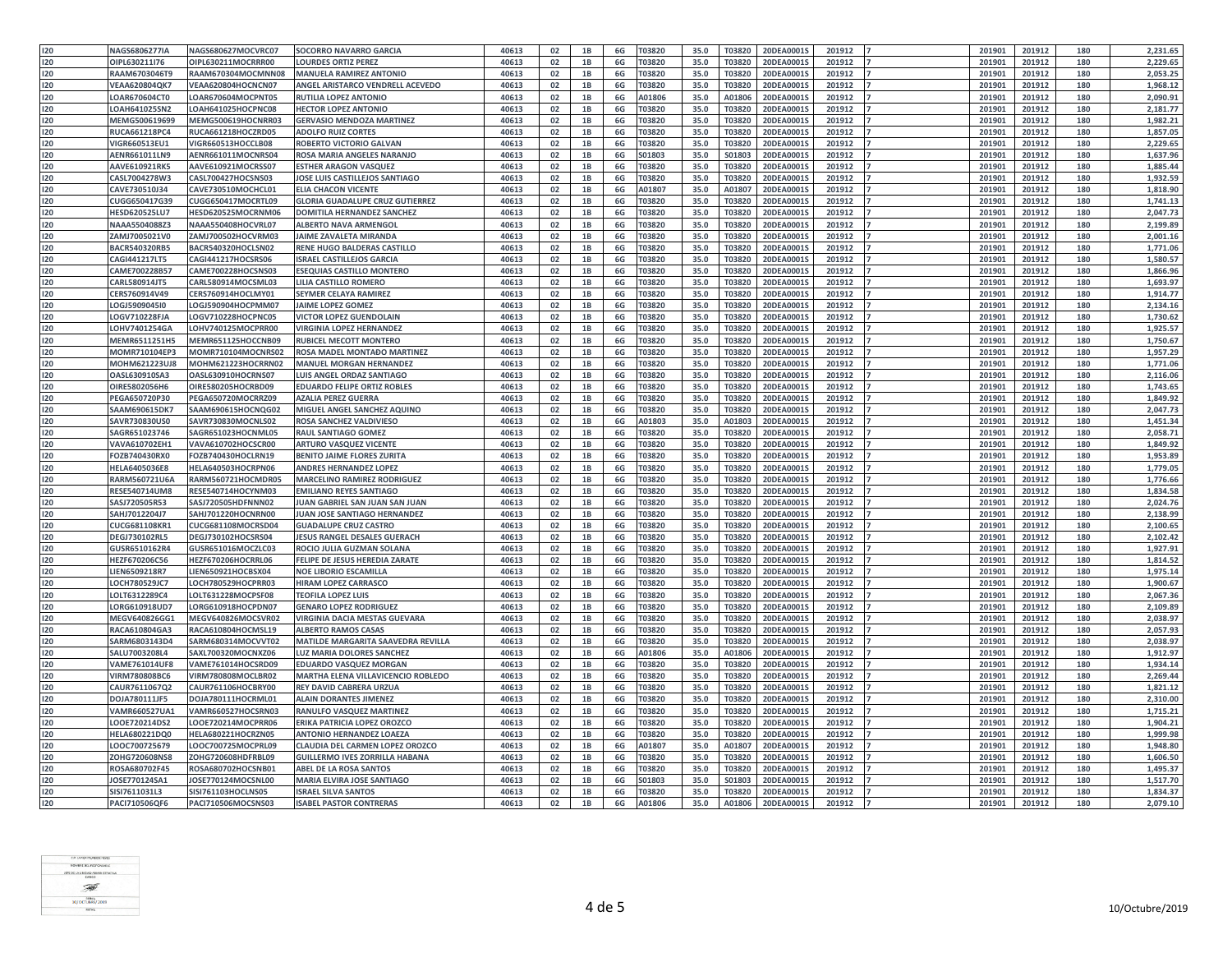| 120        | NAGS6806277IA        | NAGS680627MOCVRC07        | <b>SOCORRO NAVARRO GARCIA</b>          | 40613 | 02 | 1B            | 6G | T03820        | 35.0 | T03820 | 20DEA00019 | 201912 | 201901 | 201912 | 180 | 2.231.65 |
|------------|----------------------|---------------------------|----------------------------------------|-------|----|---------------|----|---------------|------|--------|------------|--------|--------|--------|-----|----------|
| 120        | OIPL630211I76        | OIPL630211MOCRRR00        | LOURDES ORTIZ PEREZ                    | 40613 | 02 | 1B            | 6G | <b>T03820</b> | 35.0 | T03820 | 20DEA00019 | 201912 | 201901 | 201912 | 180 | 2.229.65 |
| 120        | RAAM6703046T9        | RAAM670304MOCMNN08        | <b>MANUELA RAMIREZ ANTONIO</b>         | 40613 | 02 | 1B            | 6G | T03820        | 35.0 | T03820 | 20DEA0001S | 201912 | 201901 | 201912 | 180 | 2,053.25 |
| 120        | <b>VEAA620804QK7</b> | VEAA620804HOCNCN07        | ANGEL ARISTARCO VENDRELL ACEVEDO       | 40613 | 02 | 1B            | 6G | <b>T03820</b> | 35.0 | T03820 | 20DEA00019 | 201912 | 20190  | 201912 | 180 | 1,968.12 |
| 120        |                      |                           |                                        |       | 02 |               |    |               |      |        |            |        |        |        |     | 2,090.91 |
|            | LOAR670604CT0        | LOAR670604MOCPNT05        | RUTILIA LOPEZ ANTONIO                  | 40613 |    | $1B$          | 6G | 401806        | 35.0 | A01806 | 20DEA00019 | 201912 | 201901 | 201912 | 180 |          |
| 120        | LOAH641025SN2        | LOAH641025HOCPNC08        | <b>HECTOR LOPEZ ANTONIO</b>            | 40613 | 02 | 1B            | 6G | <b>03820</b>  | 35.0 | T03820 | 20DEA0001S | 201912 | 201901 | 201912 | 180 | 2.181.77 |
| 120        | MEMG500619699        | MEMG500619HOCNRR03        | <b>GERVASIO MENDOZA MARTINEZ</b>       | 40613 | 02 | 1B            | 6G | <b>T03820</b> | 35.0 | T03820 | 20DEA0001S | 201912 | 201901 | 201912 | 180 | 1,982.21 |
| 120        | RUCA661218PC4        | RUCA661218HOCZRD05        | <b>ADOLFO RUIZ CORTES</b>              | 40613 | 02 | 1B            | 6G | T03820        | 35.0 | T03820 | 20DEA00019 | 201912 | 201901 | 201912 | 180 | 1,857.05 |
| 120        | <b>VIGR660513EU1</b> | VIGR660513HOCCLB08        | ROBERTO VICTORIO GALVAN                | 40613 | 02 | $1\mathrm{B}$ | 6G | 03820         | 35.0 | T03820 | 20DEA0001  | 201912 | 201901 | 201912 | 180 | 2,229.65 |
| 120        | AENR661011LN9        | AENR661011MOCNRS04        | ROSA MARIA ANGELES NARANJO             | 40613 | 02 | 1B            | 6G | 601803        | 35.0 | S01803 | 20DEA00019 | 201912 | 201901 | 201912 | 180 | 1.637.96 |
| 120        | AAVE610921RK5        | AAVE610921MOCRSS07        | <b>ESTHER ARAGON VASQUEZ</b>           | 40613 | 02 | 1B            | 6G | <b>T03820</b> | 35.0 | T03820 | 20DEA0001S | 201912 | 201901 | 201912 | 180 | 1,885.44 |
| 120        | CASL7004278W3        | CASL700427HOCSNS03        | JOSE LUIS CASTILLEJOS SANTIAGO         | 40613 | 02 | 1B            | 6G | 03820         | 35.0 | T03820 | 20DEA00019 | 201912 | 201901 | 201912 | 180 | 1,932.59 |
| 120        | CAVE730510J34        | CAVE730510MOCHCL01        | <b>ELIA CHACON VICENTE</b>             | 40613 | 02 | 1B            | 6G | 401807        | 35.0 | A01807 | 20DEA00019 | 201912 | 201901 | 201912 | 180 | 1,818.90 |
| 120        | CUGG650417G39        | CUGG650417MOCRTL09        | <b>GLORIA GUADALUPE CRUZ GUTIERREZ</b> | 40613 | 02 | 1B            | 6G | <b>03820</b>  | 35.0 | T03820 | 20DEA0001S | 201912 | 201901 | 201912 | 180 | 1.741.13 |
| 120        | HESD620525LU7        | HESD620525MOCRNM06        | DOMITILA HERNANDEZ SANCHEZ             | 40613 | 02 | 1B            | 6G | <b>T03820</b> | 35.0 | T03820 | 20DEA0001S | 201912 | 201901 | 201912 | 180 | 2,047.73 |
| 120        | NAAA5504088Z3        | NAAA550408HOCVRL07        | <b>ALBERTO NAVA ARMENGOL</b>           | 40613 | 02 | 1B            | 6G | <b>T03820</b> | 35.0 | T03820 | 20DEA00019 | 201912 | 201901 | 201912 | 180 | 2.199.89 |
| 120        | ZAMJ7005021V0        | ZAMJ700502HOCVRM03        | AIME ZAVALETA MIRANDA                  | 40613 | 02 | 1B            | 6G | 03820         | 35.0 | T03820 | 20DEA0001  | 201912 | 201901 | 201912 | 180 | 2,001.16 |
| 120        | BACR540320RB5        | BACR540320HOCLSN02        | RENE HUGO BALDERAS CASTILLO            | 40613 | 02 | 1B            | 6G | <b>03820</b>  | 35.0 | T03820 | 20DEA00019 | 201912 | 201901 | 201912 | 180 | 1,771.06 |
| 120        | <b>CAGI441217LT5</b> | CAGI441217HOCSRS06        | <b>SRAEL CASTILLEJOS GARCIA</b>        | 40613 | 02 | 1B            | 6G | 03820         | 35.0 | T03820 | 20DEA00019 | 201912 | 201901 | 201912 | 180 | 1,580.57 |
| 120        | CAME700228B57        | CAME700228HOCSNS03        | <b>ESEQUIAS CASTILLO MONTERO</b>       | 40613 | 02 | 1B            | 6G | <b>T03820</b> | 35.0 | T03820 | 20DEA00019 | 201912 | 201901 | 201912 | 180 | 1,866.96 |
| 120        | CARL580914JT5        | CARL580914MOCSML03        | LILIA CASTILLO ROMERO                  | 40613 | 02 | 1B            | 6G | T03820        | 35.0 | T03820 | 20DEA00019 | 201912 | 201901 | 201912 | 180 | 1,693.97 |
| 120        | CERS760914V49        | CERS760914HOCLMY01        | SEYMER CELAYA RAMIREZ                  | 40613 | 02 | 1B            | 6G | <b>T03820</b> | 35.0 | T03820 | 20DEA0001S | 201912 | 201901 | 201912 | 180 | 1,914.77 |
|            |                      |                           |                                        |       |    |               |    |               |      |        |            |        |        |        |     |          |
| 120        | LOGJ5909045I0        | LOGJ590904HOCPMM07        | JAIME LOPEZ GOMEZ                      | 40613 | 02 | 1B            | 6G | T03820        | 35.0 | T03820 | 20DEA00019 | 201912 | 201901 | 201912 | 180 | 2,134.16 |
| 120        | LOGV710228FJA        | LOGV710228HOCPNC05        | <b>VICTOR LOPEZ GUENDOLAIN</b>         | 40613 | 02 | 1B            | 6G | <b>03820</b>  | 35.0 | T03820 | 20DEA00019 | 201912 | 201901 | 201912 | 180 | 1,730.62 |
| 120        | LOHV7401254GA        | LOHV740125MOCPRR00        | <b>VIRGINIA LOPEZ HERNANDEZ</b>        | 40613 | 02 | 1B            | 6G | 03820         | 35.0 | T03820 | 20DEA0001S | 201912 | 201901 | 201912 | 180 | 1,925.57 |
| 120        | MEMR6511251H5        | MEMR651125HOCCNB09        | RUBICEL MECOTT MONTERO                 | 40613 | 02 | 1B            | 6G | T03820        | 35.0 | T03820 | 20DEA00019 | 201912 | 201901 | 201912 | 180 | 1,750.67 |
| 120        | MOMR710104EP3        | MOMR710104MOCNRS02        | ROSA MADEL MONTAĐO MARTINEZ            | 40613 | 02 | 1B            | 6G | 03820         | 35.0 | T03820 | 20DEA00019 | 201912 | 201901 | 201912 | 180 | 1,957.29 |
| 120        | MOHM621223UJ8        | MOHM621223HOCRRN02        | <b>MANUEL MORGAN HERNANDEZ</b>         | 40613 | 02 | 1B            | 6G | 03820         | 35.0 | T03820 | 20DEA0001  | 201912 | 201901 | 201912 | 180 | 1,771.06 |
| 120        | OASL630910SA3        | 0ASL630910HOCRNS07        | UIS ANGEL ORDAZ SANTIAGO               | 40613 | 02 | 1B            | 6G | 03820         | 35.0 | T03820 | 20DEA0001S | 201912 | 201901 | 201912 | 180 | 2,116.06 |
| 120        | OIRE5802056H6        | OIRE580205HOCRBD09        | <b>EDUARDO FELIPE ORTIZ ROBLES</b>     | 40613 | 02 | 1B            | 6G | <b>03820</b>  | 35.0 | T03820 | 20DEA00019 | 201912 | 201901 | 201912 | 180 | 1,743.65 |
| 120        | PEGA650720P30        | PEGA650720MOCRRZ09        | <b>AZALIA PEREZ GUERRA</b>             | 40613 | 02 | 1B            | 6G | T03820        | 35.0 | T03820 | 20DEA00019 | 201912 | 201901 | 201912 | 180 | 1,849.92 |
| 120        | SAAM690615DK7        | SAAM690615HOCNQG02        | MIGUEL ANGEL SANCHEZ AQUINO            | 40613 | 02 | $1B$          | 6G | 03820         | 35.0 | T03820 | 20DEA0001  | 201912 | 201901 | 201912 | 180 | 2,047.73 |
| 120        | SAVR730830US0        | SAVR730830MOCNLS02        | ROSA SANCHEZ VALDIVIESO                | 40613 | 02 | 1B            | 6G | 401803        | 35.0 | A01803 | 20DEA0001S | 201912 | 201901 | 201912 | 180 | 1,451.34 |
| 120        | SAGR651023746        | SAGR651023HOCNML05        | <b>RAUL SANTIAGO GOMEZ</b>             | 40613 | 02 | 1B            | 6G | <b>T03820</b> | 35.0 | T03820 | 20DEA00019 | 201912 | 201901 | 201912 | 180 | 2,058.71 |
| 120        | VAVA610702EH1        | VAVA610702HOCSCR00        | <b>ARTURO VASQUEZ VICENTE</b>          | 40613 | 02 | 1B            | 6G | 03820         | 35.0 | T03820 | 20DEA00019 | 201912 | 201901 | 201912 | 180 | 1,849.92 |
| 120        | FOZB740430RX0        | FOZB740430HOCLRN19        | <b>BENITO JAIME FLORES ZURITA</b>      | 40613 | 02 | 1B            | 6G | 03820         | 35.0 | T03820 | 20DEA00019 | 201912 | 201901 | 201912 | 180 | 1,953.89 |
| 120        | <b>HELA6405036E8</b> | HELA640503HOCRPN06        | <b>ANDRES HERNANDEZ LOPEZ</b>          | 40613 | 02 | 1B            | 6G | <b>T03820</b> | 35.0 | T03820 | 20DEA0001S | 201912 | 201901 | 201912 | 180 | 1.779.05 |
| 120        | RARM560721U6A        | RARM560721HOCMDR05        | <b>MARCELINO RAMIREZ RODRIGUEZ</b>     | 40613 | 02 | 1B            | 6G | <b>T03820</b> | 35.0 | T03820 | 20DEA0001S | 201912 | 201901 | 201912 | 180 | 1,776.66 |
| 120        | <b>RESE540714UM8</b> | RESE540714HOCYNM03        | <b>EMILIANO REYES SANTIAGO</b>         | 40613 | 02 | 1B            | 6G | <b>T03820</b> | 35.0 | T03820 | 20DEA00019 | 201912 | 201901 | 201912 | 180 | 1.834.58 |
| 120        | SASJ720505R53        | SASJ720505HDFNNN02        | <b>JUAN GABRIEL SAN JUAN SAN JUAN</b>  | 40613 | 02 | 1B            | 6G | <b>03820</b>  | 35.0 | T03820 | 20DEA0001S | 201912 | 201901 | 201912 | 180 | 2,024.76 |
| 120        | SAHJ7012204J7        | <b>SAHJ701220HOCNRN00</b> | <b>JUAN JOSE SANTIAGO HERNANDEZ</b>    | 40613 | 02 | 1B            | 6G | <b>03820</b>  | 35.0 | T03820 | 20DEA0001S | 201912 | 201901 | 201912 | 180 | 2.138.99 |
|            |                      |                           |                                        |       |    |               |    |               |      |        |            |        |        |        |     |          |
| 120        | CUCG681108KR1        | CUCG681108MOCRSD04        | <b>GUADALUPE CRUZ CASTRO</b>           | 40613 | 02 | 1B            | 6G | <b>03820</b>  | 35.0 | T03820 | 20DEA0001S | 201912 | 201901 | 201912 | 180 | 2,100.65 |
| 120        | <b>DEGJ730102RL5</b> | DEGJ730102HOCSRS04        | <b>JESUS RANGEL DESALES GUERACH</b>    | 40613 | 02 | 1B            | 6G | <b>T03820</b> | 35.0 | T03820 | 20DEA00019 | 201912 | 201901 | 201912 | 180 | 2,102.42 |
| 120        | GUSR6510162R4        | GUSR651016MOCZLC03        | ROCIO JULIA GUZMAN SOLANA              | 40613 | 02 | 1B            | 6G | T03820        | 35.0 | T03820 | 20DEA00019 | 201912 | 201901 | 201912 | 180 | 1,927.91 |
| 120        | HEZF670206C56        | HEZF670206HOCRRL06        | FELIPE DE JESUS HEREDIA ZARATE         | 40613 | 02 | 1B            | 6G | <b>T03820</b> | 35.0 | T03820 | 20DEA0001S | 201912 | 201901 | 201912 | 180 | 1,814.52 |
| 120        | LIEN6509218R7        | LIEN650921HOCBSX04        | <b>NOE LIBORIO ESCAMILLA</b>           | 40613 | 02 | 1B            | 6G | T03820        | 35.0 | T03820 | 20DEA0001S | 201912 | 201901 | 201912 | 180 | 1,975.14 |
| 120        | LOCH780529JC7        | LOCH780529HOCPRR03        | <b>HIRAM LOPEZ CARRASCO</b>            | 40613 | 02 | 1B            | 6G | <b>T03820</b> | 35.0 | T03820 | 20DEA00019 | 201912 | 201901 | 201912 | 180 | 1,900.67 |
| 120        | LOLT6312289C4        | LOLT631228MOCPSF08        | <b>TEOFILA LOPEZ LUIS</b>              | 40613 | 02 | 1B            | 6G | T03820        | 35.0 | T03820 | 20DEA0001  | 201912 | 201901 | 201912 | 180 | 2,067.36 |
| 120        | LORG610918UD7        | LORG610918HOCPDN07        | <b>GENARO LOPEZ RODRIGUEZ</b>          | 40613 | 02 | 1B            | 6G | T03820        | 35.0 | T03820 | 20DEA0001S | 201912 | 201901 | 201912 | 180 | 2,109.89 |
| 120        | MEGV640826GG1        | MEGV640826MOCSVR02        | VIRGINIA DACIA MESTAS GUEVARA          | 40613 | 02 | 1B            | 6G | <b>03820</b>  | 35.0 | T03820 | 20DEA00019 | 201912 | 201901 | 201912 | 180 | 2,038.97 |
| 120        | RACA610804GA3        | RACA610804HOCMSL19        | <b>ALBERTO RAMOS CASAS</b>             | 40613 | 02 | 1B            | 6G | 03820         | 35.0 | T03820 | 20DEA00019 | 201912 | 201901 | 201912 | 180 | 2,057.93 |
| 120        | SARM6803143D4        | SARM680314MOCVVT02        | MATILDE MARGARITA SAAVEDRA REVILLA     | 40613 | 02 | 1B            | 6G | T03820        | 35.0 | T03820 | 20DEA0001S | 201912 | 201901 | 201912 | 180 | 2,038.97 |
| 120        | SALU7003208L4        | AXL700320MOCNXZ06         | LUZ MARIA DOLORES SANCHEZ              | 40613 | 02 | 1B            | 6G | A01806        | 35.0 | A01806 | 20DEA00019 | 201912 | 201901 | 201912 | 180 | 1,912.97 |
| 120        | <b>VAME761014UF8</b> | VAME761014HOCSRD09        | EDUARDO VASQUEZ MORGAN                 | 40613 | 02 | 1B            | 6G | T03820        | 35.0 | T03820 | 20DEA00019 | 201912 | 201901 | 201912 | 180 | 1,934.14 |
| 120        | <b>VIRM780808BC6</b> | <b>VIRM780808MOCLBR02</b> | MARTHA ELENA VILLAVICENCIO ROBLEDO     | 40613 | 02 | 1B            | 6G | <b>T03820</b> | 35.0 | T03820 | 20DEA0001  | 201912 | 201901 | 201912 | 180 | 2,269.44 |
| 120        | CAUR7611067Q2        | CAUR761106HOCBRY00        | REY DAVID CABRERA URZUA                | 40613 | 02 | 1B            | 6G | 03820         | 35.0 | T03820 | 20DEA0001S | 201912 | 201901 | 201912 | 180 | 1,821.12 |
| 120        | DOJA780111JF5        | DOJA780111HOCRML01        | <b>ALAIN DORANTES JIMENEZ</b>          | 40613 | 02 | 1B            | 6G | T03820        | 35.0 | T03820 | 20DEA00019 | 201912 | 201901 | 201912 | 180 | 2,310.00 |
|            |                      |                           |                                        | 40613 | 02 | 1B            | 6G | 03820         | 35.0 | T03820 |            | 201912 | 20190  | 201912 | 180 | 1,715.21 |
| 120<br>120 | VAMR660527UA1        | VAMR660527HOCSRN03        | RANULFO VASQUEZ MARTINEZ               |       | 02 |               |    | T03820        |      | T03820 | 20DEA00019 |        |        |        |     | 1,904.21 |
|            | LOOE720214DS2        | LOOE720214MOCPRR06        | ERIKA PATRICIA LOPEZ OROZCO            | 40613 |    | $1B$          | 6G |               | 35.0 |        | 20DEA00019 | 201912 | 201901 | 201912 | 180 |          |
| 120        | HELA680221DQ0        | HELA680221HOCRZN05        | <b>ANTONIO HERNANDEZ LOAEZA</b>        | 40613 | 02 | 1B            | 6G | T03820        | 35.0 | T03820 | 20DEA0001S | 201912 | 201901 | 201912 | 180 | 1,999.98 |
| 120        | LOOC700725679        | LOOC700725MOCPRL09        | CLAUDIA DEL CARMEN LOPEZ OROZCO        | 40613 | 02 | 1B            | 6G | A01807        | 35.0 | A01807 | 20DEA0001S | 201912 | 201901 | 201912 | 180 | 1,948.80 |
| 120        | ZOHG720608NS8        | ZOHG720608HDFRBL09        | <b>GUILLERMO IVES ZORRILLA HABANA</b>  | 40613 | 02 | 1B            | 6G | T03820        | 35.0 | T03820 | 20DEA00019 | 201912 | 201901 | 201912 | 180 | 1,606.50 |
| 120        | ROSA680702F45        | ROSA680702HOCSNB01        | <b>ABEL DE LA ROSA SANTOS</b>          | 40613 | 02 | 1B            | 6G | <b>T03820</b> | 35.0 | T03820 | 20DEA00019 | 201912 | 201901 | 201912 | 180 | 1,495.37 |
| 120        | <b>IOSE770124SA1</b> | JOSE770124MOCSNL00        | <b>MARIA ELVIRA JOSE SANTIAGO</b>      | 40613 | 02 | 1B            | 6G | 601803        | 35.0 | S01803 | 20DEA00019 | 201912 | 201901 | 201912 | 180 | 1.517.70 |
| 120        | SISI7611031L3        | SISI761103HOCLNS05        | <b>ISRAEL SILVA SANTOS</b>             | 40613 | 02 | 1B            | 6G | <b>03820</b>  | 35.0 | T03820 | 20DEA0001S | 201912 | 201901 | 201912 | 180 | 1,834.37 |
| 120        | PACI710506QF6        | PACI710506MOCSNS03        | <b>ISABEL PASTOR CONTRERAS</b>         | 40613 | 02 | 1B            | 6G | A01806        | 35.0 | A01806 | 20DEA0001S | 201912 | 201901 | 201912 | 180 | 2,079.10 |